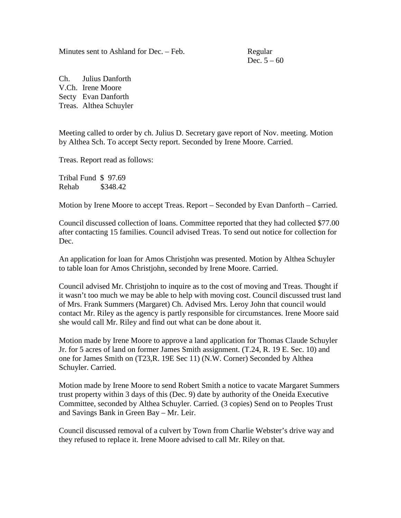Minutes sent to Ashland for Dec. – Feb. Regular

Dec.  $5 - 60$ 

Ch. Julius Danforth V.Ch. Irene Moore Secty Evan Danforth Treas. Althea Schuyler

Meeting called to order by ch. Julius D. Secretary gave report of Nov. meeting. Motion by Althea Sch. To accept Secty report. Seconded by Irene Moore. Carried.

Treas. Report read as follows:

Tribal Fund \$ 97.69 Rehab \$348.42

Motion by Irene Moore to accept Treas. Report – Seconded by Evan Danforth – Carried.

Council discussed collection of loans. Committee reported that they had collected \$77.00 after contacting 15 families. Council advised Treas. To send out notice for collection for Dec.

An application for loan for Amos Christjohn was presented. Motion by Althea Schuyler to table loan for Amos Christjohn, seconded by Irene Moore. Carried.

Council advised Mr. Christjohn to inquire as to the cost of moving and Treas. Thought if it wasn't too much we may be able to help with moving cost. Council discussed trust land of Mrs. Frank Summers (Margaret) Ch. Advised Mrs. Leroy John that council would contact Mr. Riley as the agency is partly responsible for circumstances. Irene Moore said she would call Mr. Riley and find out what can be done about it.

Motion made by Irene Moore to approve a land application for Thomas Claude Schuyler Jr. for 5 acres of land on former James Smith assignment. (T.24, R. 19 E. Sec. 10) and one for James Smith on (T23,R. 19E Sec 11) (N.W. Corner) Seconded by Althea Schuyler. Carried.

Motion made by Irene Moore to send Robert Smith a notice to vacate Margaret Summers trust property within 3 days of this (Dec. 9) date by authority of the Oneida Executive Committee, seconded by Althea Schuyler. Carried. (3 copies) Send on to Peoples Trust and Savings Bank in Green Bay – Mr. Leir.

Council discussed removal of a culvert by Town from Charlie Webster's drive way and they refused to replace it. Irene Moore advised to call Mr. Riley on that.